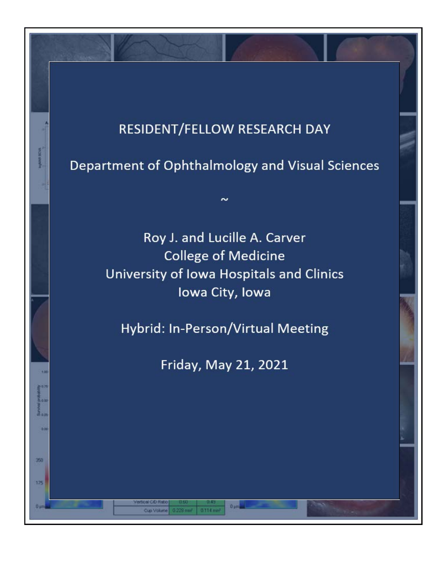# RESIDENT/FELLOW RESEARCH DAY

Department of Ophthalmology and Visual Sciences

 $\sim$ 

**B** 

350

175

Roy J. and Lucille A. Carver **College of Medicine** University of Iowa Hospitals and Clinics lowa City, lowa

Hybrid: In-Person/Virtual Meeting

Friday, May 21, 2021

 $0 \mu m$ 

0.114

Cup Volume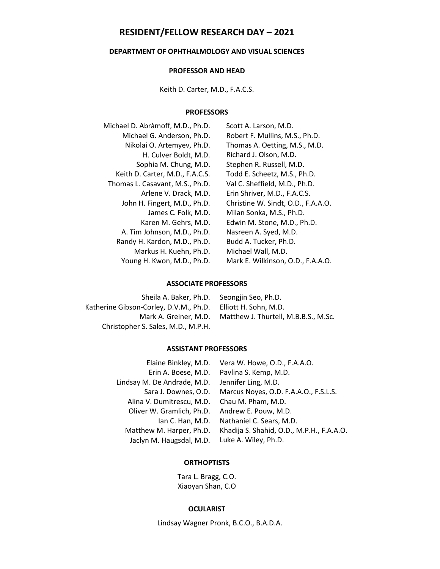# **RESIDENT/FELLOW RESEARCH DAY – 2021**

# **DEPARTMENT OF OPHTHALMOLOGY AND VISUAL SCIENCES**

## **PROFESSOR AND HEAD**

Keith D. Carter, M.D., F.A.C.S.

## **PROFESSORS**

| Michael D. Abràmoff, M.D., Ph.D. | Scott A. Larson, M.D.              |
|----------------------------------|------------------------------------|
| Michael G. Anderson, Ph.D.       | Robert F. Mullins, M.S., Ph.D.     |
| Nikolai O. Artemyev, Ph.D.       | Thomas A. Oetting, M.S., M.D.      |
| H. Culver Boldt, M.D.            | Richard J. Olson, M.D.             |
| Sophia M. Chung, M.D.            | Stephen R. Russell, M.D.           |
| Keith D. Carter, M.D., F.A.C.S.  | Todd E. Scheetz, M.S., Ph.D.       |
| Thomas L. Casavant, M.S., Ph.D.  | Val C. Sheffield, M.D., Ph.D.      |
| Arlene V. Drack, M.D.            | Erin Shriver, M.D., F.A.C.S.       |
| John H. Fingert, M.D., Ph.D.     | Christine W. Sindt, O.D., F.A.A.O. |
| James C. Folk, M.D.              | Milan Sonka, M.S., Ph.D.           |
| Karen M. Gehrs, M.D.             | Edwin M. Stone, M.D., Ph.D.        |
| A. Tim Johnson, M.D., Ph.D.      | Nasreen A. Syed, M.D.              |
| Randy H. Kardon, M.D., Ph.D.     | Budd A. Tucker, Ph.D.              |
| Markus H. Kuehn, Ph.D.           | Michael Wall, M.D.                 |
| Young H. Kwon, M.D., Ph.D.       | Mark E. Wilkinson, O.D., F.A.A.O.  |

#### **ASSOCIATE PROFESSORS**

| Sheila A. Baker, Ph.D.                 | Seongjin Seo, Ph.D.                  |
|----------------------------------------|--------------------------------------|
| Katherine Gibson-Corley, D.V.M., Ph.D. | Elliott H. Sohn. M.D.                |
| Mark A. Greiner, M.D.                  | Matthew J. Thurtell, M.B.B.S., M.Sc. |
| Christopher S. Sales, M.D., M.P.H.     |                                      |

# **ASSISTANT PROFESSORS**

| Elaine Binkley, M.D.        | Vera W. Howe, O.D., F.A.A.O.              |
|-----------------------------|-------------------------------------------|
| Erin A. Boese, M.D.         | Pavlina S. Kemp, M.D.                     |
| Lindsay M. De Andrade, M.D. | Jennifer Ling, M.D.                       |
| Sara J. Downes, O.D.        | Marcus Noyes, O.D. F.A.A.O., F.S.L.S.     |
| Alina V. Dumitrescu, M.D.   | Chau M. Pham, M.D.                        |
| Oliver W. Gramlich, Ph.D.   | Andrew E. Pouw, M.D.                      |
| lan C. Han, M.D.            | Nathaniel C. Sears, M.D.                  |
| Matthew M. Harper, Ph.D.    | Khadija S. Shahid, O.D., M.P.H., F.A.A.O. |
| Jaclyn M. Haugsdal, M.D.    | Luke A. Wiley, Ph.D.                      |
|                             |                                           |

# **ORTHOPTISTS**

Tara L. Bragg, C.O. Xiaoyan Shan, C.O

## **OCULARIST**

Lindsay Wagner Pronk, B.C.O., B.A.D.A.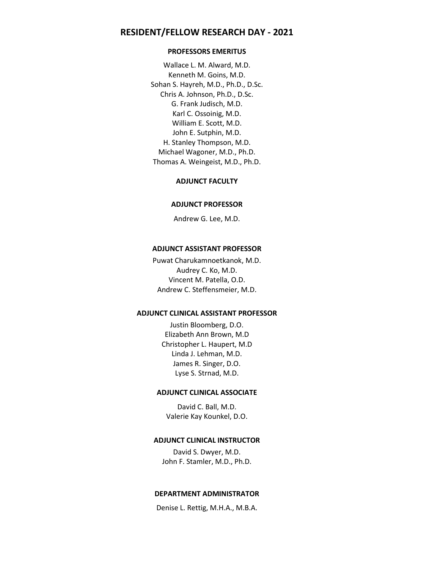# **RESIDENT/FELLOW RESEARCH DAY - 2021**

## **PROFESSORS EMERITUS**

Wallace L. M. Alward, M.D. Kenneth M. Goins, M.D. Sohan S. Hayreh, M.D., Ph.D., D.Sc. Chris A. Johnson, Ph.D., D.Sc. G. Frank Judisch, M.D. Karl C. Ossoinig, M.D. William E. Scott, M.D. John E. Sutphin, M.D. H. Stanley Thompson, M.D. Michael Wagoner, M.D., Ph.D. Thomas A. Weingeist, M.D., Ph.D.

## **ADJUNCT FACULTY**

#### **ADJUNCT PROFESSOR**

Andrew G. Lee, M.D.

## **ADJUNCT ASSISTANT PROFESSOR**

Puwat Charukamnoetkanok, M.D. Audrey C. Ko, M.D. Vincent M. Patella, O.D. Andrew C. Steffensmeier, M.D.

#### **ADJUNCT CLINICAL ASSISTANT PROFESSOR**

Justin Bloomberg, D.O. Elizabeth Ann Brown, M.D Christopher L. Haupert, M.D Linda J. Lehman, M.D. James R. Singer, D.O. Lyse S. Strnad, M.D.

#### **ADJUNCT CLINICAL ASSOCIATE**

David C. Ball, M.D. Valerie Kay Kounkel, D.O.

## **ADJUNCT CLINICAL INSTRUCTOR**

David S. Dwyer, M.D. John F. Stamler, M.D., Ph.D.

# **DEPARTMENT ADMINISTRATOR**

Denise L. Rettig, M.H.A., M.B.A.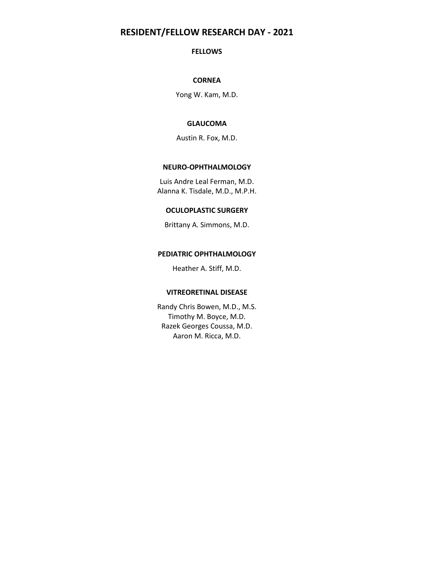# **RESIDENT/FELLOW RESEARCH DAY - 2021**

## **FELLOWS**

# **CORNEA**

Yong W. Kam, M.D.

# **GLAUCOMA**

Austin R. Fox, M.D.

## **NEURO-OPHTHALMOLOGY**

Luis Andre Leal Ferman, M.D. Alanna K. Tisdale, M.D., M.P.H.

## **OCULOPLASTIC SURGERY**

Brittany A. Simmons, M.D.

## **PEDIATRIC OPHTHALMOLOGY**

Heather A. Stiff, M.D.

## **VITREORETINAL DISEASE**

Randy Chris Bowen, M.D., M.S. Timothy M. Boyce, M.D. Razek Georges Coussa, M.D. Aaron M. Ricca, M.D.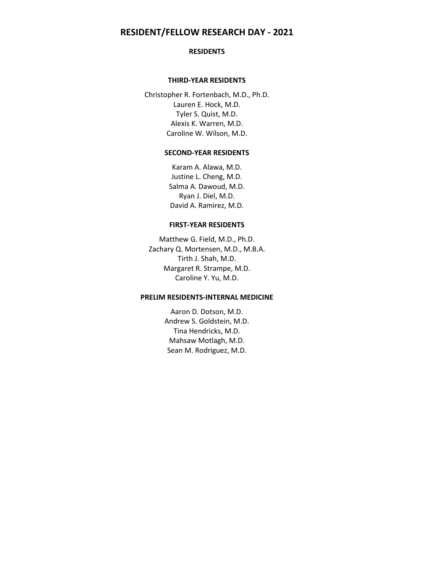# **RESIDENT/FELLOW RESEARCH DAY - 2021**

## **RESIDENTS**

## **THIRD-YEAR RESIDENTS**

Christopher R. Fortenbach, M.D., Ph.D. Lauren E. Hock, M.D. Tyler S. Quist, M.D. Alexis K. Warren, M.D. Caroline W. Wilson, M.D.

## **SECOND-YEAR RESIDENTS**

Karam A. Alawa, M.D. Justine L. Cheng, M.D. Salma A. Dawoud, M.D. Ryan J. Diel, M.D. David A. Ramirez, M.D.

## **FIRST-YEAR RESIDENTS**

Matthew G. Field, M.D., Ph.D. Zachary Q. Mortensen, M.D., M.B.A. Tirth J. Shah, M.D. Margaret R. Strampe, M.D. Caroline Y. Yu, M.D.

## **PRELIM RESIDENTS-INTERNAL MEDICINE**

Aaron D. Dotson, M.D. Andrew S. Goldstein, M.D. Tina Hendricks, M.D. Mahsaw Motlagh, M.D. Sean M. Rodriguez, M.D.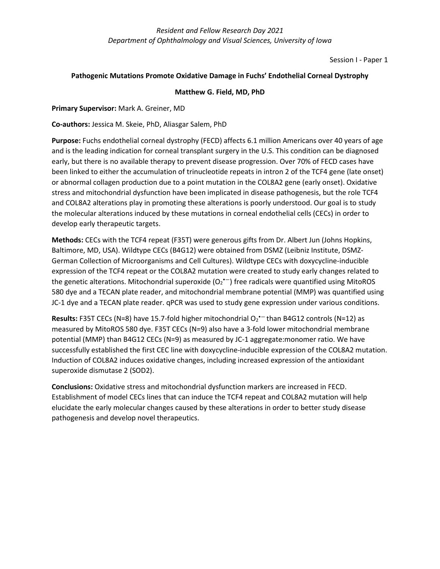Session I - Paper 1

## **Pathogenic Mutations Promote Oxidative Damage in Fuchs' Endothelial Corneal Dystrophy**

## **Matthew G. Field, MD, PhD**

## **Primary Supervisor:** Mark A. Greiner, MD

## **Co-authors:** Jessica M. Skeie, PhD, Aliasgar Salem, PhD

**Purpose:** Fuchs endothelial corneal dystrophy (FECD) affects 6.1 million Americans over 40 years of age and is the leading indication for corneal transplant surgery in the U.S. This condition can be diagnosed early, but there is no available therapy to prevent disease progression. Over 70% of FECD cases have been linked to either the accumulation of trinucleotide repeats in intron 2 of the TCF4 gene (late onset) or abnormal collagen production due to a point mutation in the COL8A2 gene (early onset). Oxidative stress and mitochondrial dysfunction have been implicated in disease pathogenesis, but the role TCF4 and COL8A2 alterations play in promoting these alterations is poorly understood. Our goal is to study the molecular alterations induced by these mutations in corneal endothelial cells (CECs) in order to develop early therapeutic targets.

**Methods:** CECs with the TCF4 repeat (F35T) were generous gifts from Dr. Albert Jun (Johns Hopkins, Baltimore, MD, USA). Wildtype CECs (B4G12) were obtained from DSMZ (Leibniz Institute, DSMZ-German Collection of Microorganisms and Cell Cultures). Wildtype CECs with doxycycline-inducible expression of the TCF4 repeat or the COL8A2 mutation were created to study early changes related to the genetic alterations. Mitochondrial superoxide  $(O_2^{\bullet -})$  free radicals were quantified using MitoROS 580 dye and a TECAN plate reader, and mitochondrial membrane potential (MMP) was quantified using JC-1 dye and a TECAN plate reader. qPCR was used to study gene expression under various conditions.

Results: F35T CECs (N=8) have 15.7-fold higher mitochondrial O<sub>2</sub><sup>+-</sup>than B4G12 controls (N=12) as measured by MitoROS 580 dye. F35T CECs (N=9) also have a 3-fold lower mitochondrial membrane potential (MMP) than B4G12 CECs (N=9) as measured by JC-1 aggregate:monomer ratio. We have successfully established the first CEC line with doxycycline-inducible expression of the COL8A2 mutation. Induction of COL8A2 induces oxidative changes, including increased expression of the antioxidant superoxide dismutase 2 (SOD2).

**Conclusions:** Oxidative stress and mitochondrial dysfunction markers are increased in FECD. Establishment of model CECs lines that can induce the TCF4 repeat and COL8A2 mutation will help elucidate the early molecular changes caused by these alterations in order to better study disease pathogenesis and develop novel therapeutics.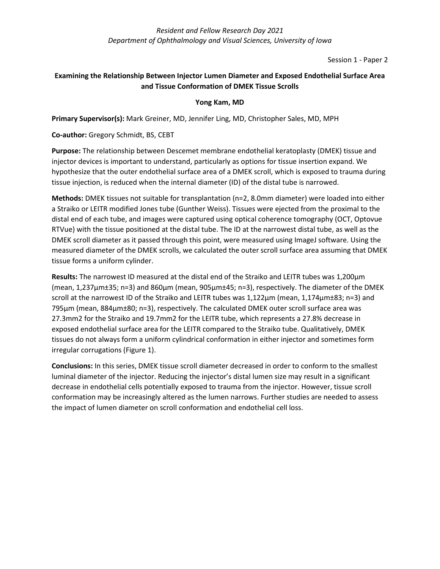Session 1 - Paper 2

# **Examining the Relationship Between Injector Lumen Diameter and Exposed Endothelial Surface Area and Tissue Conformation of DMEK Tissue Scrolls**

# **Yong Kam, MD**

**Primary Supervisor(s):** Mark Greiner, MD, Jennifer Ling, MD, Christopher Sales, MD, MPH

# **Co-author:** Gregory Schmidt, BS, CEBT

**Purpose:** The relationship between Descemet membrane endothelial keratoplasty (DMEK) tissue and injector devices is important to understand, particularly as options for tissue insertion expand. We hypothesize that the outer endothelial surface area of a DMEK scroll, which is exposed to trauma during tissue injection, is reduced when the internal diameter (ID) of the distal tube is narrowed.

**Methods:** DMEK tissues not suitable for transplantation (n=2, 8.0mm diameter) were loaded into either a Straiko or LEITR modified Jones tube (Gunther Weiss). Tissues were ejected from the proximal to the distal end of each tube, and images were captured using optical coherence tomography (OCT, Optovue RTVue) with the tissue positioned at the distal tube. The ID at the narrowest distal tube, as well as the DMEK scroll diameter as it passed through this point, were measured using ImageJ software. Using the measured diameter of the DMEK scrolls, we calculated the outer scroll surface area assuming that DMEK tissue forms a uniform cylinder.

**Results:** The narrowest ID measured at the distal end of the Straiko and LEITR tubes was 1,200μm (mean, 1,237μm±35; n=3) and 860μm (mean, 905μm±45; n=3), respectively. The diameter of the DMEK scroll at the narrowest ID of the Straiko and LEITR tubes was 1,122μm (mean, 1,174μm±83; n=3) and 795μm (mean, 884μm±80; n=3), respectively. The calculated DMEK outer scroll surface area was 27.3mm2 for the Straiko and 19.7mm2 for the LEITR tube, which represents a 27.8% decrease in exposed endothelial surface area for the LEITR compared to the Straiko tube. Qualitatively, DMEK tissues do not always form a uniform cylindrical conformation in either injector and sometimes form irregular corrugations (Figure 1).

**Conclusions:** In this series, DMEK tissue scroll diameter decreased in order to conform to the smallest luminal diameter of the injector. Reducing the injector's distal lumen size may result in a significant decrease in endothelial cells potentially exposed to trauma from the injector. However, tissue scroll conformation may be increasingly altered as the lumen narrows. Further studies are needed to assess the impact of lumen diameter on scroll conformation and endothelial cell loss.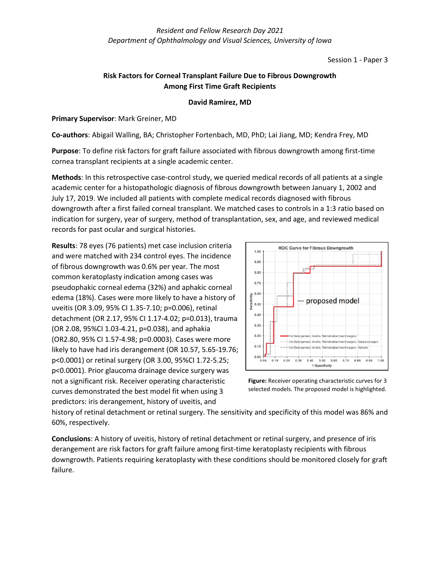Session 1 - Paper 3

# **Risk Factors for Corneal Transplant Failure Due to Fibrous Downgrowth Among First Time Graft Recipients**

# **David Ramirez, MD**

**Primary Supervisor**: Mark Greiner, MD

**Co-authors**: Abigail Walling, BA; Christopher Fortenbach, MD, PhD; Lai Jiang, MD; Kendra Frey, MD

**Purpose**: To define risk factors for graft failure associated with fibrous downgrowth among first-time cornea transplant recipients at a single academic center.

**Methods**: In this retrospective case-control study, we queried medical records of all patients at a single academic center for a histopathologic diagnosis of fibrous downgrowth between January 1, 2002 and July 17, 2019. We included all patients with complete medical records diagnosed with fibrous downgrowth after a first failed corneal transplant. We matched cases to controls in a 1:3 ratio based on indication for surgery, year of surgery, method of transplantation, sex, and age, and reviewed medical records for past ocular and surgical histories.

**Results**: 78 eyes (76 patients) met case inclusion criteria and were matched with 234 control eyes. The incidence of fibrous downgrowth was 0.6% per year. The most common keratoplasty indication among cases was pseudophakic corneal edema (32%) and aphakic corneal edema (18%). Cases were more likely to have a history of uveitis (OR 3.09, 95% CI 1.35-7.10; p=0.006), retinal detachment (OR 2.17, 95% CI 1.17-4.02; p=0.013), trauma (OR 2.08, 95%CI 1.03-4.21, p=0.038), and aphakia (OR2.80, 95% CI 1.57-4.98; p=0.0003). Cases were more likely to have had iris derangement (OR 10.57, 5.65-19.76; p<0.0001) or retinal surgery (OR 3.00, 95%CI 1.72-5.25; p<0.0001). Prior glaucoma drainage device surgery was not a significant risk. Receiver operating characteristic curves demonstrated the best model fit when using 3 predictors: iris derangement, history of uveitis, and





history of retinal detachment or retinal surgery. The sensitivity and specificity of this model was 86% and 60%, respectively.

**Conclusions**: A history of uveitis, history of retinal detachment or retinal surgery, and presence of iris derangement are risk factors for graft failure among first-time keratoplasty recipients with fibrous downgrowth. Patients requiring keratoplasty with these conditions should be monitored closely for graft failure.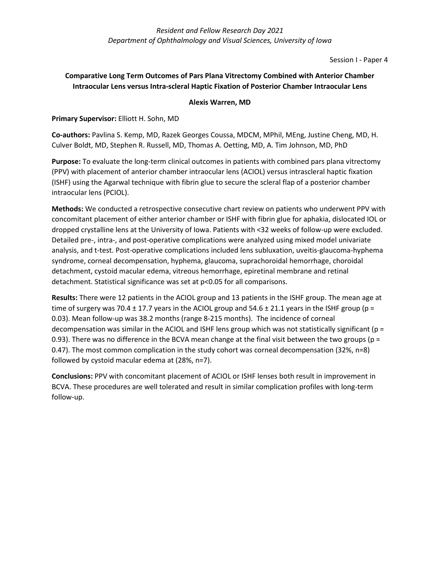Session I - Paper 4

# **Comparative Long Term Outcomes of Pars Plana Vitrectomy Combined with Anterior Chamber Intraocular Lens versus Intra-scleral Haptic Fixation of Posterior Chamber Intraocular Lens**

# **Alexis Warren, MD**

# **Primary Supervisor:** Elliott H. Sohn, MD

**Co-authors:** Pavlina S. Kemp, MD, Razek Georges Coussa, MDCM, MPhil, MEng, Justine Cheng, MD, H. Culver Boldt, MD, Stephen R. Russell, MD, Thomas A. Oetting, MD, A. Tim Johnson, MD, PhD

**Purpose:** To evaluate the long-term clinical outcomes in patients with combined pars plana vitrectomy (PPV) with placement of anterior chamber intraocular lens (ACIOL) versus intrascleral haptic fixation (ISHF) using the Agarwal technique with fibrin glue to secure the scleral flap of a posterior chamber intraocular lens (PCIOL).

**Methods:** We conducted a retrospective consecutive chart review on patients who underwent PPV with concomitant placement of either anterior chamber or ISHF with fibrin glue for aphakia, dislocated IOL or dropped crystalline lens at the University of Iowa. Patients with <32 weeks of follow-up were excluded. Detailed pre-, intra-, and post-operative complications were analyzed using mixed model univariate analysis, and t-test. Post-operative complications included lens subluxation, uveitis-glaucoma-hyphema syndrome, corneal decompensation, hyphema, glaucoma, suprachoroidal hemorrhage, choroidal detachment, cystoid macular edema, vitreous hemorrhage, epiretinal membrane and retinal detachment. Statistical significance was set at p<0.05 for all comparisons.

**Results:** There were 12 patients in the ACIOL group and 13 patients in the ISHF group. The mean age at time of surgery was 70.4  $\pm$  17.7 years in the ACIOL group and 54.6  $\pm$  21.1 years in the ISHF group (p = 0.03). Mean follow-up was 38.2 months (range 8-215 months). The incidence of corneal decompensation was similar in the ACIOL and ISHF lens group which was not statistically significant ( $p =$ 0.93). There was no difference in the BCVA mean change at the final visit between the two groups ( $p =$ 0.47). The most common complication in the study cohort was corneal decompensation (32%, n=8) followed by cystoid macular edema at (28%, n=7).

**Conclusions:** PPV with concomitant placement of ACIOL or ISHF lenses both result in improvement in BCVA. These procedures are well tolerated and result in similar complication profiles with long-term follow-up.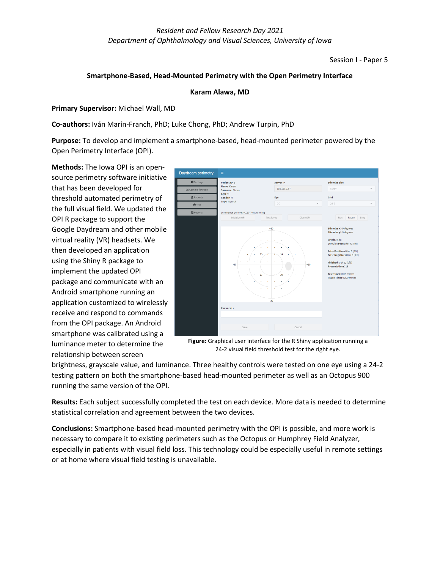Session I - Paper 5

## **Smartphone-Based, Head-Mounted Perimetry with the Open Perimetry Interface**

## **Karam Alawa, MD**

**Primary Supervisor:** Michael Wall, MD

**Co-authors:** Iván Marín-Franch, PhD; Luke Chong, PhD; Andrew Turpin, PhD

**Purpose:** To develop and implement a smartphone-based, head-mounted perimeter powered by the Open Perimetry Interface (OPI).

**Methods:** The Iowa OPI is an opensource perimetry software initiative that has been developed for threshold automated perimetry of the full visual field. We updated the OPI R package to support the Google Daydream and other mobile virtual reality (VR) headsets. We then developed an application using the Shiny R package to implement the updated OPI package and communicate with an Android smartphone running an application customized to wirelessly receive and respond to commands from the OPI package. An Android smartphone was calibrated using a luminance meter to determine the relationship between screen



**Figure:** Graphical user interface for the R Shiny application running a 24-2 visual field threshold test for the right eye.

brightness, grayscale value, and luminance. Three healthy controls were tested on one eye using a 24-2 testing pattern on both the smartphone-based head-mounted perimeter as well as an Octopus 900 running the same version of the OPI.

**Results:** Each subject successfully completed the test on each device. More data is needed to determine statistical correlation and agreement between the two devices.

**Conclusions:** Smartphone-based head-mounted perimetry with the OPI is possible, and more work is necessary to compare it to existing perimeters such as the Octopus or Humphrey Field Analyzer, especially in patients with visual field loss. This technology could be especially useful in remote settings or at home where visual field testing is unavailable.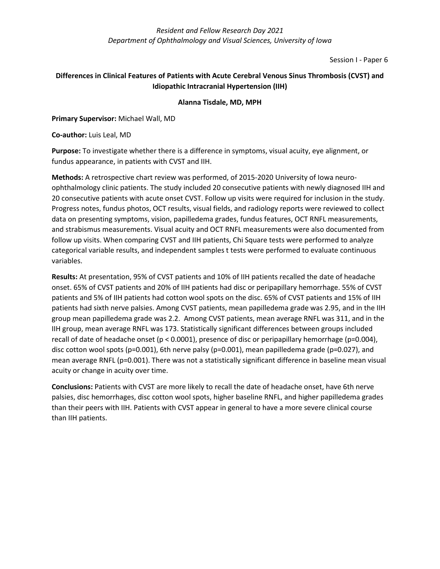Session I - Paper 6

# **Differences in Clinical Features of Patients with Acute Cerebral Venous Sinus Thrombosis (CVST) and Idiopathic Intracranial Hypertension (IIH)**

# **Alanna Tisdale, MD, MPH**

**Primary Supervisor:** Michael Wall, MD

**Co-author:** Luis Leal, MD

**Purpose:** To investigate whether there is a difference in symptoms, visual acuity, eye alignment, or fundus appearance, in patients with CVST and IIH.

**Methods:** A retrospective chart review was performed, of 2015-2020 University of Iowa neuroophthalmology clinic patients. The study included 20 consecutive patients with newly diagnosed IIH and 20 consecutive patients with acute onset CVST. Follow up visits were required for inclusion in the study. Progress notes, fundus photos, OCT results, visual fields, and radiology reports were reviewed to collect data on presenting symptoms, vision, papilledema grades, fundus features, OCT RNFL measurements, and strabismus measurements. Visual acuity and OCT RNFL measurements were also documented from follow up visits. When comparing CVST and IIH patients, Chi Square tests were performed to analyze categorical variable results, and independent samples t tests were performed to evaluate continuous variables.

**Results:** At presentation, 95% of CVST patients and 10% of IIH patients recalled the date of headache onset. 65% of CVST patients and 20% of IIH patients had disc or peripapillary hemorrhage. 55% of CVST patients and 5% of IIH patients had cotton wool spots on the disc. 65% of CVST patients and 15% of IIH patients had sixth nerve palsies. Among CVST patients, mean papilledema grade was 2.95, and in the IIH group mean papilledema grade was 2.2. Among CVST patients, mean average RNFL was 311, and in the IIH group, mean average RNFL was 173. Statistically significant differences between groups included recall of date of headache onset (p < 0.0001), presence of disc or peripapillary hemorrhage (p=0.004), disc cotton wool spots (p=0.001), 6th nerve palsy (p=0.001), mean papilledema grade (p=0.027), and mean average RNFL (p=0.001). There was not a statistically significant difference in baseline mean visual acuity or change in acuity over time.

**Conclusions:** Patients with CVST are more likely to recall the date of headache onset, have 6th nerve palsies, disc hemorrhages, disc cotton wool spots, higher baseline RNFL, and higher papilledema grades than their peers with IIH. Patients with CVST appear in general to have a more severe clinical course than IIH patients.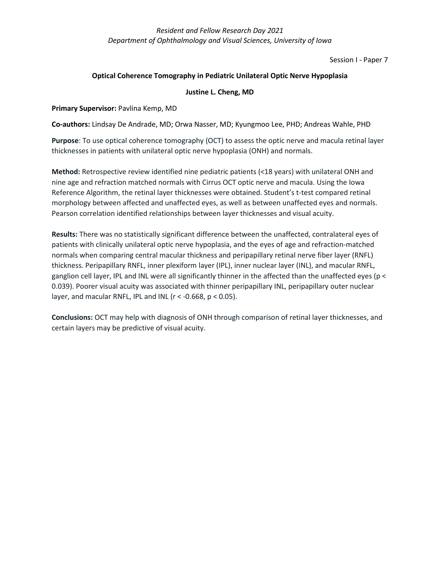Session I - Paper 7

## **Optical Coherence Tomography in Pediatric Unilateral Optic Nerve Hypoplasia**

## **Justine L. Cheng, MD**

**Primary Supervisor:** Pavlina Kemp, MD

**Co-authors:** Lindsay De Andrade, MD; Orwa Nasser, MD; Kyungmoo Lee, PHD; Andreas Wahle, PHD

**Purpose**: To use optical coherence tomography (OCT) to assess the optic nerve and macula retinal layer thicknesses in patients with unilateral optic nerve hypoplasia (ONH) and normals.

**Method:** Retrospective review identified nine pediatric patients (<18 years) with unilateral ONH and nine age and refraction matched normals with Cirrus OCT optic nerve and macula. Using the Iowa Reference Algorithm, the retinal layer thicknesses were obtained. Student's t-test compared retinal morphology between affected and unaffected eyes, as well as between unaffected eyes and normals. Pearson correlation identified relationships between layer thicknesses and visual acuity.

**Results:** There was no statistically significant difference between the unaffected, contralateral eyes of patients with clinically unilateral optic nerve hypoplasia, and the eyes of age and refraction-matched normals when comparing central macular thickness and peripapillary retinal nerve fiber layer (RNFL) thickness. Peripapillary RNFL, inner plexiform layer (IPL), inner nuclear layer (INL), and macular RNFL, ganglion cell layer, IPL and INL were all significantly thinner in the affected than the unaffected eyes (p < 0.039). Poorer visual acuity was associated with thinner peripapillary INL, peripapillary outer nuclear layer, and macular RNFL, IPL and INL ( $r < -0.668$ ,  $p < 0.05$ ).

**Conclusions:** OCT may help with diagnosis of ONH through comparison of retinal layer thicknesses, and certain layers may be predictive of visual acuity.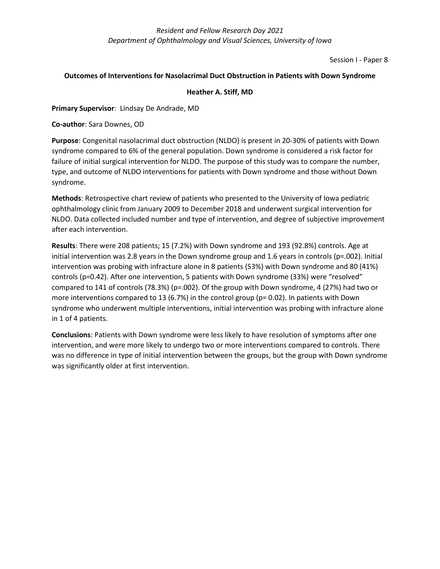Session I - Paper 8

## **Outcomes of Interventions for Nasolacrimal Duct Obstruction in Patients with Down Syndrome**

## **Heather A. Stiff, MD**

## **Primary Supervisor**: Lindsay De Andrade, MD

**Co-author**: Sara Downes, OD

**Purpose**: Congenital nasolacrimal duct obstruction (NLDO) is present in 20-30% of patients with Down syndrome compared to 6% of the general population. Down syndrome is considered a risk factor for failure of initial surgical intervention for NLDO. The purpose of this study was to compare the number, type, and outcome of NLDO interventions for patients with Down syndrome and those without Down syndrome.

**Methods**: Retrospective chart review of patients who presented to the University of Iowa pediatric ophthalmology clinic from January 2009 to December 2018 and underwent surgical intervention for NLDO. Data collected included number and type of intervention, and degree of subjective improvement after each intervention.

**Results**: There were 208 patients; 15 (7.2%) with Down syndrome and 193 (92.8%) controls. Age at initial intervention was 2.8 years in the Down syndrome group and 1.6 years in controls (p=.002). Initial intervention was probing with infracture alone in 8 patients (53%) with Down syndrome and 80 (41%) controls (p=0.42). After one intervention, 5 patients with Down syndrome (33%) were "resolved" compared to 141 of controls (78.3%) (p=.002). Of the group with Down syndrome, 4 (27%) had two or more interventions compared to 13 (6.7%) in the control group ( $p= 0.02$ ). In patients with Down syndrome who underwent multiple interventions, initial intervention was probing with infracture alone in 1 of 4 patients.

**Conclusions**: Patients with Down syndrome were less likely to have resolution of symptoms after one intervention, and were more likely to undergo two or more interventions compared to controls. There was no difference in type of initial intervention between the groups, but the group with Down syndrome was significantly older at first intervention.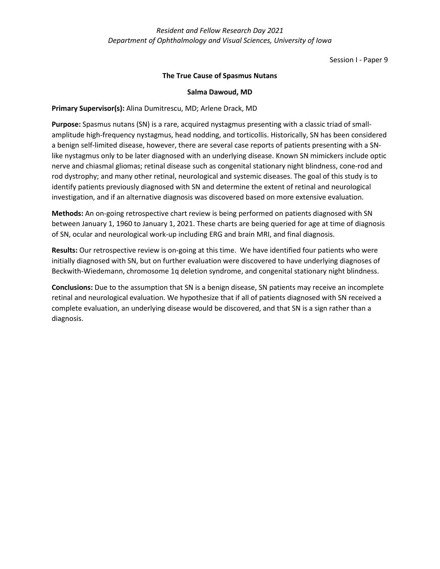Session I - Paper 9

## **The True Cause of Spasmus Nutans**

## **Salma Dawoud, MD**

## **Primary Supervisor(s):** Alina Dumitrescu, MD; Arlene Drack, MD

**Purpose:** Spasmus nutans (SN) is a rare, acquired nystagmus presenting with a classic triad of smallamplitude high-frequency nystagmus, head nodding, and torticollis. Historically, SN has been considered a benign self-limited disease, however, there are several case reports of patients presenting with a SNlike nystagmus only to be later diagnosed with an underlying disease. Known SN mimickers include optic nerve and chiasmal gliomas; retinal disease such as congenital stationary night blindness, cone-rod and rod dystrophy; and many other retinal, neurological and systemic diseases. The goal of this study is to identify patients previously diagnosed with SN and determine the extent of retinal and neurological investigation, and if an alternative diagnosis was discovered based on more extensive evaluation.

**Methods:** An on-going retrospective chart review is being performed on patients diagnosed with SN between January 1, 1960 to January 1, 2021. These charts are being queried for age at time of diagnosis of SN, ocular and neurological work-up including ERG and brain MRI, and final diagnosis.

**Results:** Our retrospective review is on-going at this time. We have identified four patients who were initially diagnosed with SN, but on further evaluation were discovered to have underlying diagnoses of Beckwith-Wiedemann, chromosome 1q deletion syndrome, and congenital stationary night blindness.

**Conclusions:** Due to the assumption that SN is a benign disease, SN patients may receive an incomplete retinal and neurological evaluation. We hypothesize that if all of patients diagnosed with SN received a complete evaluation, an underlying disease would be discovered, and that SN is a sign rather than a diagnosis.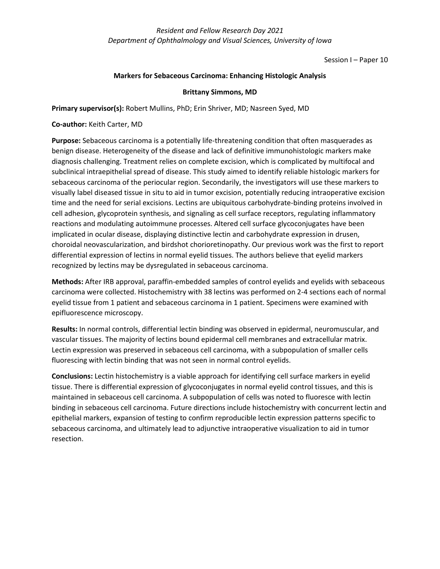Session I – Paper 10

## **Markers for Sebaceous Carcinoma: Enhancing Histologic Analysis**

## **Brittany Simmons, MD**

**Primary supervisor(s):** Robert Mullins, PhD; Erin Shriver, MD; Nasreen Syed, MD

**Co-author:** Keith Carter, MD

**Purpose:** Sebaceous carcinoma is a potentially life-threatening condition that often masquerades as benign disease. Heterogeneity of the disease and lack of definitive immunohistologic markers make diagnosis challenging. Treatment relies on complete excision, which is complicated by multifocal and subclinical intraepithelial spread of disease. This study aimed to identify reliable histologic markers for sebaceous carcinoma of the periocular region. Secondarily, the investigators will use these markers to visually label diseased tissue in situ to aid in tumor excision, potentially reducing intraoperative excision time and the need for serial excisions. Lectins are ubiquitous carbohydrate-binding proteins involved in cell adhesion, glycoprotein synthesis, and signaling as cell surface receptors, regulating inflammatory reactions and modulating autoimmune processes. Altered cell surface glycoconjugates have been implicated in ocular disease, displaying distinctive lectin and carbohydrate expression in drusen, choroidal neovascularization, and birdshot chorioretinopathy. Our previous work was the first to report differential expression of lectins in normal eyelid tissues. The authors believe that eyelid markers recognized by lectins may be dysregulated in sebaceous carcinoma.

**Methods:** After IRB approval, paraffin-embedded samples of control eyelids and eyelids with sebaceous carcinoma were collected. Histochemistry with 38 lectins was performed on 2-4 sections each of normal eyelid tissue from 1 patient and sebaceous carcinoma in 1 patient. Specimens were examined with epifluorescence microscopy.

**Results:** In normal controls, differential lectin binding was observed in epidermal, neuromuscular, and vascular tissues. The majority of lectins bound epidermal cell membranes and extracellular matrix. Lectin expression was preserved in sebaceous cell carcinoma, with a subpopulation of smaller cells fluorescing with lectin binding that was not seen in normal control eyelids.

**Conclusions:** Lectin histochemistry is a viable approach for identifying cell surface markers in eyelid tissue. There is differential expression of glycoconjugates in normal eyelid control tissues, and this is maintained in sebaceous cell carcinoma. A subpopulation of cells was noted to fluoresce with lectin binding in sebaceous cell carcinoma. Future directions include histochemistry with concurrent lectin and epithelial markers, expansion of testing to confirm reproducible lectin expression patterns specific to sebaceous carcinoma, and ultimately lead to adjunctive intraoperative visualization to aid in tumor resection.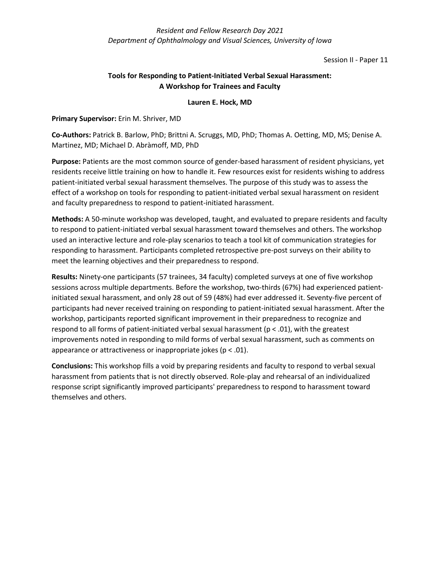Session II - Paper 11

# **Tools for Responding to Patient-Initiated Verbal Sexual Harassment: A Workshop for Trainees and Faculty**

# **Lauren E. Hock, MD**

# **Primary Supervisor:** Erin M. Shriver, MD

**Co-Authors:** Patrick B. Barlow, PhD; Brittni A. Scruggs, MD, PhD; Thomas A. Oetting, MD, MS; Denise A. Martinez, MD; Michael D. Abràmoff, MD, PhD

**Purpose:** Patients are the most common source of gender-based harassment of resident physicians, yet residents receive little training on how to handle it. Few resources exist for residents wishing to address patient-initiated verbal sexual harassment themselves. The purpose of this study was to assess the effect of a workshop on tools for responding to patient-initiated verbal sexual harassment on resident and faculty preparedness to respond to patient-initiated harassment.

**Methods:** A 50-minute workshop was developed, taught, and evaluated to prepare residents and faculty to respond to patient-initiated verbal sexual harassment toward themselves and others. The workshop used an interactive lecture and role-play scenarios to teach a tool kit of communication strategies for responding to harassment. Participants completed retrospective pre-post surveys on their ability to meet the learning objectives and their preparedness to respond.

**Results:** Ninety-one participants (57 trainees, 34 faculty) completed surveys at one of five workshop sessions across multiple departments. Before the workshop, two-thirds (67%) had experienced patientinitiated sexual harassment, and only 28 out of 59 (48%) had ever addressed it. Seventy-five percent of participants had never received training on responding to patient-initiated sexual harassment. After the workshop, participants reported significant improvement in their preparedness to recognize and respond to all forms of patient-initiated verbal sexual harassment ( $p < .01$ ), with the greatest improvements noted in responding to mild forms of verbal sexual harassment, such as comments on appearance or attractiveness or inappropriate jokes ( $p < .01$ ).

**Conclusions:** This workshop fills a void by preparing residents and faculty to respond to verbal sexual harassment from patients that is not directly observed. Role-play and rehearsal of an individualized response script significantly improved participants' preparedness to respond to harassment toward themselves and others.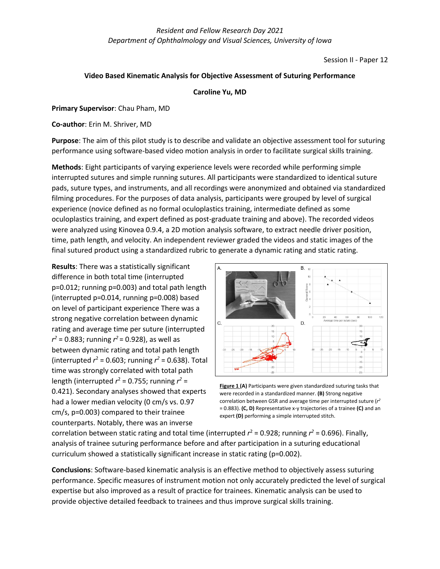Session II - Paper 12

## **Video Based Kinematic Analysis for Objective Assessment of Suturing Performance**

#### **Caroline Yu, MD**

**Primary Supervisor**: Chau Pham, MD

**Co-author**: Erin M. Shriver, MD

**Purpose**: The aim of this pilot study is to describe and validate an objective assessment tool for suturing performance using software-based video motion analysis in order to facilitate surgical skills training.

**Methods**: Eight participants of varying experience levels were recorded while performing simple interrupted sutures and simple running sutures. All participants were standardized to identical suture pads, suture types, and instruments, and all recordings were anonymized and obtained via standardized filming procedures. For the purposes of data analysis, participants were grouped by level of surgical experience (novice defined as no formal oculoplastics training, intermediate defined as some oculoplastics training, and expert defined as post-graduate training and above). The recorded videos were analyzed using Kinovea 0.9.4, a 2D motion analysis software, to extract needle driver position, time, path length, and velocity. An independent reviewer graded the videos and static images of the final sutured product using a standardized rubric to generate a dynamic rating and static rating.

**Results**: There was a statistically significant difference in both total time (interrupted p=0.012; running p=0.003) and total path length (interrupted p=0.014, running p=0.008) based on level of participant experience There was a strong negative correlation between dynamic rating and average time per suture (interrupted *r <sup>2</sup>* = 0.883; running *r <sup>2</sup>* = 0.928), as well as between dynamic rating and total path length (interrupted  $r^2$  = 0.603; running  $r^2$  = 0.638). Total time was strongly correlated with total path length (interrupted  $r^2$  = 0.755; running  $r^2$  = 0.421). Secondary analyses showed that experts had a lower median velocity (0 cm/s vs. 0.97 cm/s, p=0.003) compared to their trainee counterparts. Notably, there was an inverse



**Figure 1 (A)** Participants were given standardized suturing tasks that were recorded in a standardized manner. **(B)** Strong negative correlation between GSR and average time per interrupted suture (*r2* = 0.883). **(C, D)** Representative x-y trajectories of a trainee **(C)** and an expert **(D)** performing a simple interrupted stitch.

correlation between static rating and total time (interrupted  $r^2$  = 0.928; running  $r^2$  = 0.696). Finally, analysis of trainee suturing performance before and after participation in a suturing educational curriculum showed a statistically significant increase in static rating (p=0.002).

**Conclusions**: Software-based kinematic analysis is an effective method to objectively assess suturing performance. Specific measures of instrument motion not only accurately predicted the level of surgical expertise but also improved as a result of practice for trainees. Kinematic analysis can be used to provide objective detailed feedback to trainees and thus improve surgical skills training.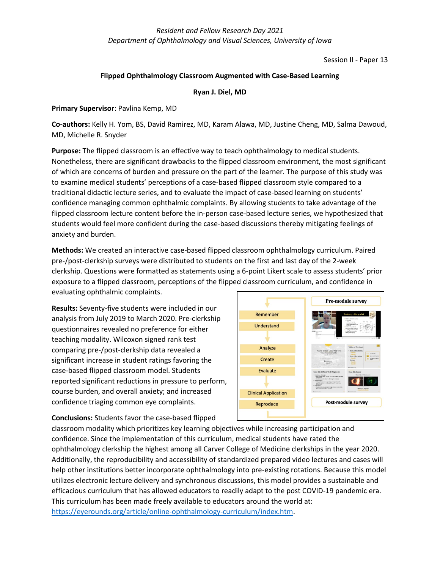Session II - Paper 13

## **Flipped Ophthalmology Classroom Augmented with Case-Based Learning**

## **Ryan J. Diel, MD**

## **Primary Supervisor**: Pavlina Kemp, MD

**Co-authors:** Kelly H. Yom, BS, David Ramirez, MD, Karam Alawa, MD, Justine Cheng, MD, Salma Dawoud, MD, Michelle R. Snyder

**Purpose:** The flipped classroom is an effective way to teach ophthalmology to medical students. Nonetheless, there are significant drawbacks to the flipped classroom environment, the most significant of which are concerns of burden and pressure on the part of the learner. The purpose of this study was to examine medical students' perceptions of a case-based flipped classroom style compared to a traditional didactic lecture series, and to evaluate the impact of case-based learning on students' confidence managing common ophthalmic complaints. By allowing students to take advantage of the flipped classroom lecture content before the in-person case-based lecture series, we hypothesized that students would feel more confident during the case-based discussions thereby mitigating feelings of anxiety and burden.

**Methods:** We created an interactive case-based flipped classroom ophthalmology curriculum. Paired pre-/post-clerkship surveys were distributed to students on the first and last day of the 2-week clerkship. Questions were formatted as statements using a 6-point Likert scale to assess students' prior exposure to a flipped classroom, perceptions of the flipped classroom curriculum, and confidence in evaluating ophthalmic complaints.

**Results:** Seventy-five students were included in our analysis from July 2019 to March 2020. Pre-clerkship questionnaires revealed no preference for either teaching modality. Wilcoxon signed rank test comparing pre-/post-clerkship data revealed a significant increase in student ratings favoring the case-based flipped classroom model. Students reported significant reductions in pressure to perform, course burden, and overall anxiety; and increased confidence triaging common eye complaints.



**Conclusions:** Students favor the case-based flipped

classroom modality which prioritizes key learning objectives while increasing participation and confidence. Since the implementation of this curriculum, medical students have rated the ophthalmology clerkship the highest among all Carver College of Medicine clerkships in the year 2020. Additionally, the reproducibility and accessibility of standardized prepared video lectures and cases will help other institutions better incorporate ophthalmology into pre-existing rotations. Because this model utilizes electronic lecture delivery and synchronous discussions, this model provides a sustainable and efficacious curriculum that has allowed educators to readily adapt to the post COVID-19 pandemic era. This curriculum has been made freely available to educators around the world at: [https://eyerounds.org/article/online-ophthalmology-curriculum/index.htm.](https://eyerounds.org/article/online-ophthalmology-curriculum/index.htm)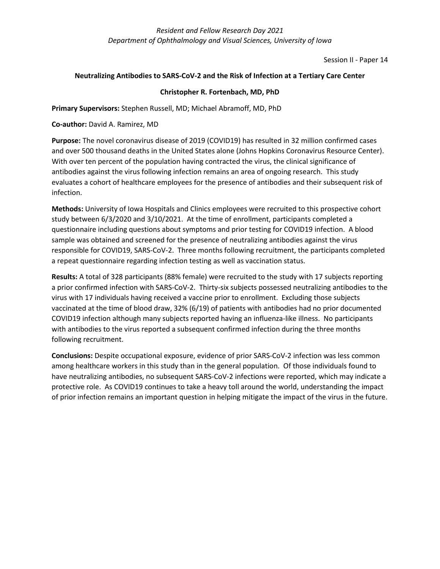Session II - Paper 14

## **Neutralizing Antibodies to SARS-CoV-2 and the Risk of Infection at a Tertiary Care Center**

## **Christopher R. Fortenbach, MD, PhD**

**Primary Supervisors:** Stephen Russell, MD; Michael Abramoff, MD, PhD

**Co-author:** David A. Ramirez, MD

**Purpose:** The novel coronavirus disease of 2019 (COVID19) has resulted in 32 million confirmed cases and over 500 thousand deaths in the United States alone (Johns Hopkins Coronavirus Resource Center). With over ten percent of the population having contracted the virus, the clinical significance of antibodies against the virus following infection remains an area of ongoing research. This study evaluates a cohort of healthcare employees for the presence of antibodies and their subsequent risk of infection.

**Methods:** University of Iowa Hospitals and Clinics employees were recruited to this prospective cohort study between 6/3/2020 and 3/10/2021. At the time of enrollment, participants completed a questionnaire including questions about symptoms and prior testing for COVID19 infection. A blood sample was obtained and screened for the presence of neutralizing antibodies against the virus responsible for COVID19, SARS-CoV-2. Three months following recruitment, the participants completed a repeat questionnaire regarding infection testing as well as vaccination status.

**Results:** A total of 328 participants (88% female) were recruited to the study with 17 subjects reporting a prior confirmed infection with SARS-CoV-2. Thirty-six subjects possessed neutralizing antibodies to the virus with 17 individuals having received a vaccine prior to enrollment. Excluding those subjects vaccinated at the time of blood draw, 32% (6/19) of patients with antibodies had no prior documented COVID19 infection although many subjects reported having an influenza-like illness. No participants with antibodies to the virus reported a subsequent confirmed infection during the three months following recruitment.

**Conclusions:** Despite occupational exposure, evidence of prior SARS-CoV-2 infection was less common among healthcare workers in this study than in the general population. Of those individuals found to have neutralizing antibodies, no subsequent SARS-CoV-2 infections were reported, which may indicate a protective role. As COVID19 continues to take a heavy toll around the world, understanding the impact of prior infection remains an important question in helping mitigate the impact of the virus in the future.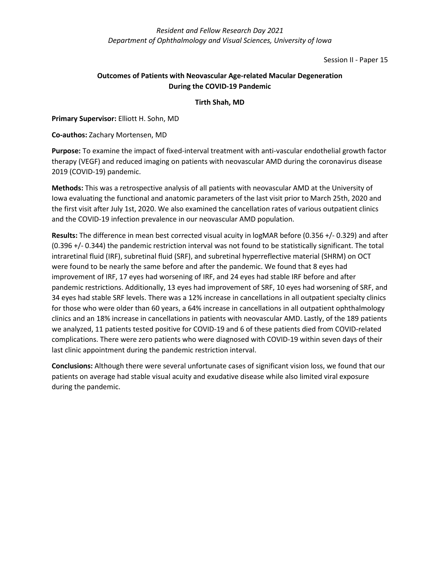Session II - Paper 15

# **Outcomes of Patients with Neovascular Age-related Macular Degeneration During the COVID-19 Pandemic**

# **Tirth Shah, MD**

**Primary Supervisor:** Elliott H. Sohn, MD

**Co-authos:** Zachary Mortensen, MD

**Purpose:** To examine the impact of fixed-interval treatment with anti-vascular endothelial growth factor therapy (VEGF) and reduced imaging on patients with neovascular AMD during the coronavirus disease 2019 (COVID-19) pandemic.

**Methods:** This was a retrospective analysis of all patients with neovascular AMD at the University of Iowa evaluating the functional and anatomic parameters of the last visit prior to March 25th, 2020 and the first visit after July 1st, 2020. We also examined the cancellation rates of various outpatient clinics and the COVID-19 infection prevalence in our neovascular AMD population.

**Results:** The difference in mean best corrected visual acuity in logMAR before (0.356 +/- 0.329) and after (0.396 +/- 0.344) the pandemic restriction interval was not found to be statistically significant. The total intraretinal fluid (IRF), subretinal fluid (SRF), and subretinal hyperreflective material (SHRM) on OCT were found to be nearly the same before and after the pandemic. We found that 8 eyes had improvement of IRF, 17 eyes had worsening of IRF, and 24 eyes had stable IRF before and after pandemic restrictions. Additionally, 13 eyes had improvement of SRF, 10 eyes had worsening of SRF, and 34 eyes had stable SRF levels. There was a 12% increase in cancellations in all outpatient specialty clinics for those who were older than 60 years, a 64% increase in cancellations in all outpatient ophthalmology clinics and an 18% increase in cancellations in patients with neovascular AMD. Lastly, of the 189 patients we analyzed, 11 patients tested positive for COVID-19 and 6 of these patients died from COVID-related complications. There were zero patients who were diagnosed with COVID-19 within seven days of their last clinic appointment during the pandemic restriction interval.

**Conclusions:** Although there were several unfortunate cases of significant vision loss, we found that our patients on average had stable visual acuity and exudative disease while also limited viral exposure during the pandemic.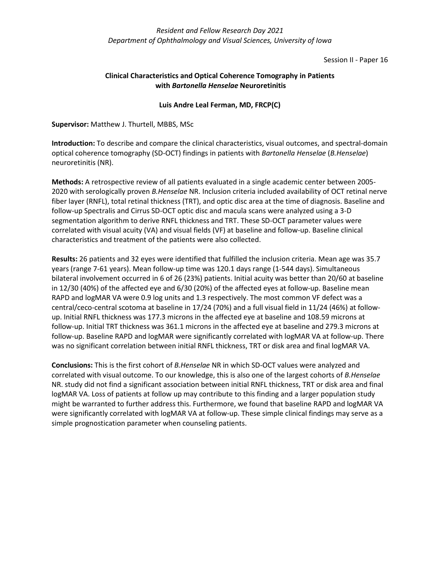Session II - Paper 16

# **Clinical Characteristics and Optical Coherence Tomography in Patients with** *Bartonella Henselae* **Neuroretinitis**

## **Luis Andre Leal Ferman, MD, FRCP(C)**

**Supervisor:** Matthew J. Thurtell, MBBS, MSc

**Introduction:** To describe and compare the clinical characteristics, visual outcomes, and spectral-domain optical coherence tomography (SD-OCT) findings in patients with *Bartonella Henselae* (*B.Henselae*) neuroretinitis (NR).

**Methods:** A retrospective review of all patients evaluated in a single academic center between 2005- 2020 with serologically proven *B.Henselae* NR. Inclusion criteria included availability of OCT retinal nerve fiber layer (RNFL), total retinal thickness (TRT), and optic disc area at the time of diagnosis. Baseline and follow-up Spectralis and Cirrus SD-OCT optic disc and macula scans were analyzed using a 3-D segmentation algorithm to derive RNFL thickness and TRT. These SD-OCT parameter values were correlated with visual acuity (VA) and visual fields (VF) at baseline and follow-up. Baseline clinical characteristics and treatment of the patients were also collected.

**Results:** 26 patients and 32 eyes were identified that fulfilled the inclusion criteria. Mean age was 35.7 years (range 7-61 years). Mean follow-up time was 120.1 days range (1-544 days). Simultaneous bilateral involvement occurred in 6 of 26 (23%) patients. Initial acuity was better than 20/60 at baseline in 12/30 (40%) of the affected eye and 6/30 (20%) of the affected eyes at follow-up. Baseline mean RAPD and logMAR VA were 0.9 log units and 1.3 respectively. The most common VF defect was a central/ceco-central scotoma at baseline in 17/24 (70%) and a full visual field in 11/24 (46%) at followup. Initial RNFL thickness was 177.3 microns in the affected eye at baseline and 108.59 microns at follow-up. Initial TRT thickness was 361.1 microns in the affected eye at baseline and 279.3 microns at follow-up. Baseline RAPD and logMAR were significantly correlated with logMAR VA at follow-up. There was no significant correlation between initial RNFL thickness, TRT or disk area and final logMAR VA.

**Conclusions:** This is the first cohort of *B.Henselae* NR in which SD-OCT values were analyzed and correlated with visual outcome. To our knowledge, this is also one of the largest cohorts of *B.Henselae*  NR. study did not find a significant association between initial RNFL thickness, TRT or disk area and final logMAR VA. Loss of patients at follow up may contribute to this finding and a larger population study might be warranted to further address this. Furthermore, we found that baseline RAPD and logMAR VA were significantly correlated with logMAR VA at follow-up. These simple clinical findings may serve as a simple prognostication parameter when counseling patients.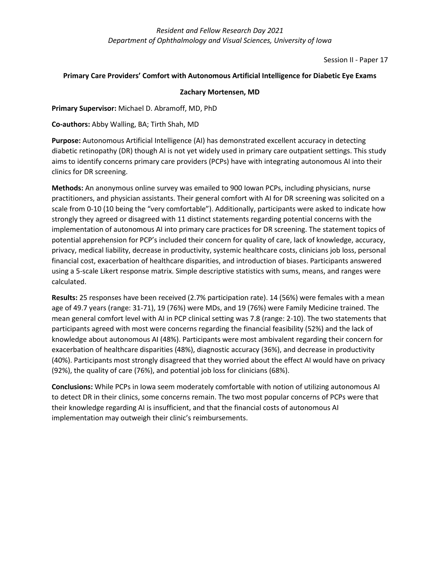Session II - Paper 17

## **Primary Care Providers' Comfort with Autonomous Artificial Intelligence for Diabetic Eye Exams**

## **Zachary Mortensen, MD**

## **Primary Supervisor:** Michael D. Abramoff, MD, PhD

**Co-authors:** Abby Walling, BA; Tirth Shah, MD

**Purpose:** Autonomous Artificial Intelligence (AI) has demonstrated excellent accuracy in detecting diabetic retinopathy (DR) though AI is not yet widely used in primary care outpatient settings. This study aims to identify concerns primary care providers (PCPs) have with integrating autonomous AI into their clinics for DR screening.

**Methods:** An anonymous online survey was emailed to 900 Iowan PCPs, including physicians, nurse practitioners, and physician assistants. Their general comfort with AI for DR screening was solicited on a scale from 0-10 (10 being the "very comfortable"). Additionally, participants were asked to indicate how strongly they agreed or disagreed with 11 distinct statements regarding potential concerns with the implementation of autonomous AI into primary care practices for DR screening. The statement topics of potential apprehension for PCP's included their concern for quality of care, lack of knowledge, accuracy, privacy, medical liability, decrease in productivity, systemic healthcare costs, clinicians job loss, personal financial cost, exacerbation of healthcare disparities, and introduction of biases. Participants answered using a 5-scale Likert response matrix. Simple descriptive statistics with sums, means, and ranges were calculated.

**Results:** 25 responses have been received (2.7% participation rate). 14 (56%) were females with a mean age of 49.7 years (range: 31-71), 19 (76%) were MDs, and 19 (76%) were Family Medicine trained. The mean general comfort level with AI in PCP clinical setting was 7.8 (range: 2-10). The two statements that participants agreed with most were concerns regarding the financial feasibility (52%) and the lack of knowledge about autonomous AI (48%). Participants were most ambivalent regarding their concern for exacerbation of healthcare disparities (48%), diagnostic accuracy (36%), and decrease in productivity (40%). Participants most strongly disagreed that they worried about the effect AI would have on privacy (92%), the quality of care (76%), and potential job loss for clinicians (68%).

**Conclusions:** While PCPs in Iowa seem moderately comfortable with notion of utilizing autonomous AI to detect DR in their clinics, some concerns remain. The two most popular concerns of PCPs were that their knowledge regarding AI is insufficient, and that the financial costs of autonomous AI implementation may outweigh their clinic's reimbursements.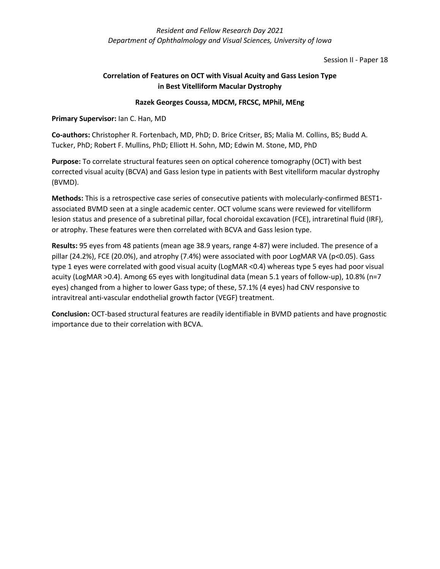Session II - Paper 18

# **Correlation of Features on OCT with Visual Acuity and Gass Lesion Type in Best Vitelliform Macular Dystrophy**

# **Razek Georges Coussa, MDCM, FRCSC, MPhil, MEng**

# **Primary Supervisor:** Ian C. Han, MD

**Co-authors:** Christopher R. Fortenbach, MD, PhD; D. Brice Critser, BS; Malia M. Collins, BS; Budd A. Tucker, PhD; Robert F. Mullins, PhD; Elliott H. Sohn, MD; Edwin M. Stone, MD, PhD

**Purpose:** To correlate structural features seen on optical coherence tomography (OCT) with best corrected visual acuity (BCVA) and Gass lesion type in patients with Best vitelliform macular dystrophy (BVMD).

**Methods:** This is a retrospective case series of consecutive patients with molecularly-confirmed BEST1 associated BVMD seen at a single academic center. OCT volume scans were reviewed for vitelliform lesion status and presence of a subretinal pillar, focal choroidal excavation (FCE), intraretinal fluid (IRF), or atrophy. These features were then correlated with BCVA and Gass lesion type.

**Results:** 95 eyes from 48 patients (mean age 38.9 years, range 4-87) were included. The presence of a pillar (24.2%), FCE (20.0%), and atrophy (7.4%) were associated with poor LogMAR VA (p<0.05). Gass type 1 eyes were correlated with good visual acuity (LogMAR <0.4) whereas type 5 eyes had poor visual acuity (LogMAR >0.4). Among 65 eyes with longitudinal data (mean 5.1 years of follow-up), 10.8% (n=7 eyes) changed from a higher to lower Gass type; of these, 57.1% (4 eyes) had CNV responsive to intravitreal anti-vascular endothelial growth factor (VEGF) treatment.

**Conclusion:** OCT-based structural features are readily identifiable in BVMD patients and have prognostic importance due to their correlation with BCVA.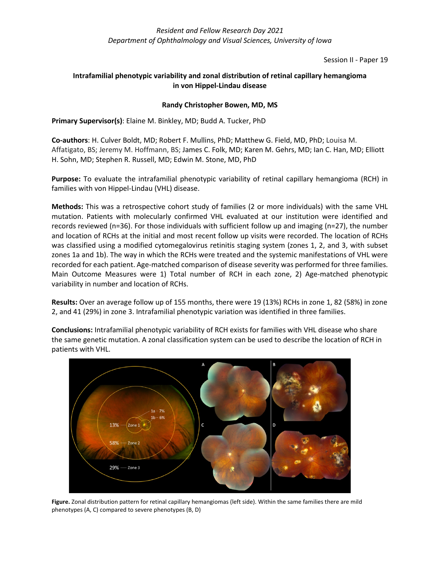Session II - Paper 19

# **Intrafamilial phenotypic variability and zonal distribution of retinal capillary hemangioma in von Hippel-Lindau disease**

# **Randy Christopher Bowen, MD, MS**

**Primary Supervisor(s)**: Elaine M. Binkley, MD; Budd A. Tucker, PhD

**Co-authors**: H. Culver Boldt, MD; Robert F. Mullins, PhD; Matthew G. Field, MD, PhD; Louisa M. Affatigato, BS; Jeremy M. Hoffmann, BS; James C. Folk, MD; Karen M. Gehrs, MD; Ian C. Han, MD; Elliott H. Sohn, MD; Stephen R. Russell, MD; Edwin M. Stone, MD, PhD

**Purpose:** To evaluate the intrafamilial phenotypic variability of retinal capillary hemangioma (RCH) in families with von Hippel-Lindau (VHL) disease.

**Methods:** This was a retrospective cohort study of families (2 or more individuals) with the same VHL mutation. Patients with molecularly confirmed VHL evaluated at our institution were identified and records reviewed (n=36). For those individuals with sufficient follow up and imaging (n=27), the number and location of RCHs at the initial and most recent follow up visits were recorded. The location of RCHs was classified using a modified cytomegalovirus retinitis staging system (zones 1, 2, and 3, with subset zones 1a and 1b). The way in which the RCHs were treated and the systemic manifestations of VHL were recorded for each patient. Age-matched comparison of disease severity was performed for three families. Main Outcome Measures were 1) Total number of RCH in each zone, 2) Age-matched phenotypic variability in number and location of RCHs.

**Results:** Over an average follow up of 155 months, there were 19 (13%) RCHs in zone 1, 82 (58%) in zone 2, and 41 (29%) in zone 3. Intrafamilial phenotypic variation was identified in three families.

**Conclusions:** Intrafamilial phenotypic variability of RCH exists for families with VHL disease who share the same genetic mutation. A zonal classification system can be used to describe the location of RCH in patients with VHL.



**Figure.** Zonal distribution pattern for retinal capillary hemangiomas (left side). Within the same families there are mild phenotypes (A, C) compared to severe phenotypes (B, D)